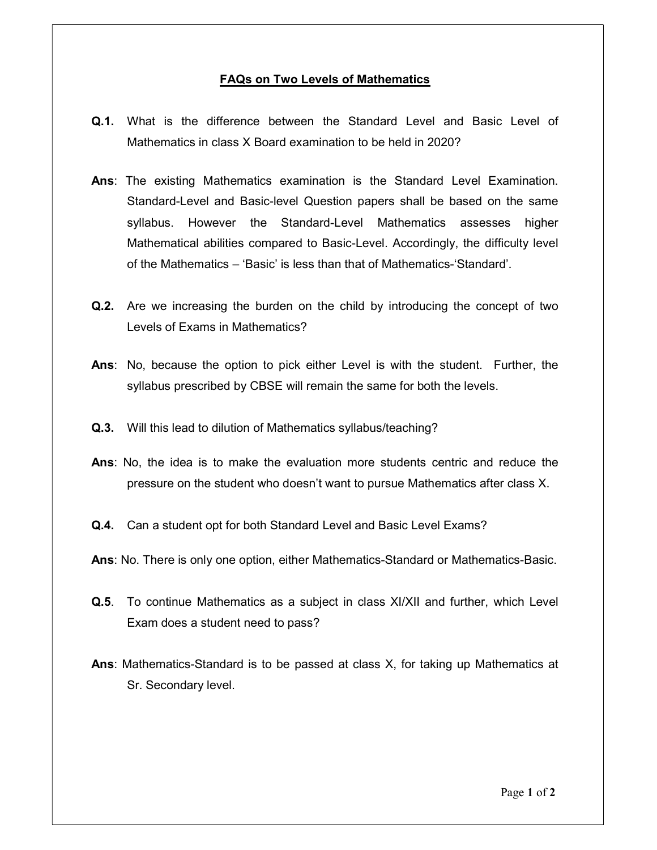## FAQs on Two Levels of Mathematics

- Q.1. What is the difference between the Standard Level and Basic Level of Mathematics in class X Board examination to be held in 2020?
- Ans: The existing Mathematics examination is the Standard Level Examination. Standard-Level and Basic-level Question papers shall be based on the same syllabus. However the Standard-Level Mathematics assesses higher Mathematical abilities compared to Basic-Level. Accordingly, the difficulty level of the Mathematics – 'Basic' is less than that of Mathematics-'Standard'.
- **Q.2.** Are we increasing the burden on the child by introducing the concept of two Levels of Exams in Mathematics?
- Ans: No, because the option to pick either Level is with the student. Further, the syllabus prescribed by CBSE will remain the same for both the levels.
- Q.3. Will this lead to dilution of Mathematics syllabus/teaching?
- Ans: No, the idea is to make the evaluation more students centric and reduce the pressure on the student who doesn't want to pursue Mathematics after class X.
- Q.4. Can a student opt for both Standard Level and Basic Level Exams?
- Ans: No. There is only one option, either Mathematics-Standard or Mathematics-Basic.
- Q.5. To continue Mathematics as a subject in class XI/XII and further, which Level Exam does a student need to pass?
- Ans: Mathematics-Standard is to be passed at class X, for taking up Mathematics at Sr. Secondary level.